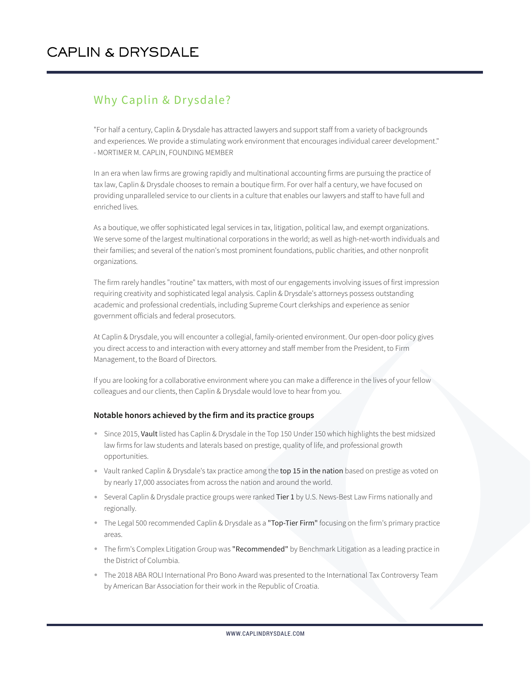## Why Caplin & Drysdale?

"For half a century, Caplin & Drysdale has attracted lawyers and support staff from a variety of backgrounds and experiences. We provide a stimulating work environment that encourages individual career development." - MORTIMER M. CAPLIN, FOUNDING MEMBER

In an era when law firms are growing rapidly and multinational accounting firms are pursuing the practice of tax law, Caplin & Drysdale chooses to remain a boutique firm. For over half a century, we have focused on providing unparalleled service to our clients in a culture that enables our lawyers and staff to have full and enriched lives.

As a boutique, we offer sophisticated legal services in tax, litigation, political law, and exempt organizations. We serve some of the largest multinational corporations in the world; as well as high-net-worth individuals and their families; and several of the nation's most prominent foundations, public charities, and other nonprofit organizations.

The firm rarely handles "routine" tax matters, with most of our engagements involving issues of first impression requiring creativity and sophisticated legal analysis. Caplin & Drysdale's attorneys possess outstanding academic and professional credentials, including Supreme Court clerkships and experience as senior government officials and federal prosecutors.

At Caplin & Drysdale, you will encounter a collegial, family-oriented environment. Our open-door policy gives you direct access to and interaction with every attorney and staff member from the President, to Firm Management, to the Board of Directors.

If you are looking for a collaborative environment where you can make a difference in the lives of your fellow colleagues and our clients, then Caplin & Drysdale would love to hear from you.

## **Notable honors achieved by the firm and its practice groups**

- Since 2015, Vault listed has Caplin & Drysdale in the Top 150 Under 150 which highlights the best midsized law firms for law students and laterals based on prestige, quality of life, and professional growth opportunities.
- Vault ranked Caplin & Drysdale's tax practice among the top 15 in the nation based on prestige as voted on by nearly 17,000 associates from across the nation and around the world.
- Several Caplin & Drysdale practice groups were ranked Tier 1 by U.S. News-Best Law Firms nationally and regionally.
- The Legal 500 recommended Caplin & Drysdale as a "Top-Tier Firm" focusing on the firm's primary practice areas.
- The firm's Complex Litigation Group was "Recommended" by Benchmark Litigation as a leading practice in the District of Columbia.
- The 2018 ABA ROLI International Pro Bono Award was presented to the International Tax Controversy Team by American Bar Association for their work in the Republic of Croatia.